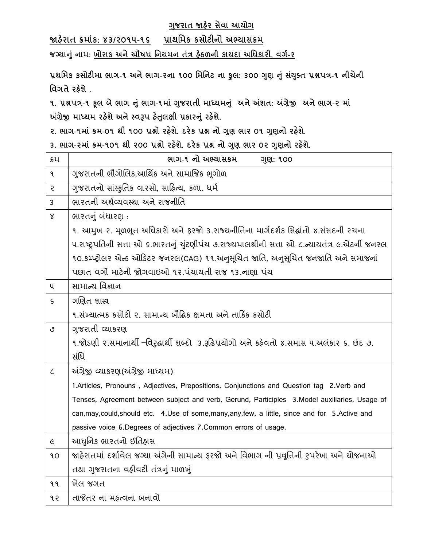# **ગજુ રાત જાહરે સેવા આયોગ**

**જાહરે ાત ક્રમાકાં : ૪૩/૨૦૧૫-૧૬ પ્રાથમમક કસોટીનો અભ્યાસક્રમ** 

**જગ્યાનાંુનામ: ખોરાક અનેઔષધ મનયમન તત્રાં હઠે ળની કાયદા અમધકારી, વગગ-૨**

**પ્રથમમક કસોટીમા ભાગ-૧ અનેભાગ-૨ના ૧૦૦ મમમનટ ના કુલ: ૩૦૦ ગણુ નાંુસયાં ક્ુત પ્રશ્નપત્ર-૧ નીચેની મવગતેરહશે ે.**

**૧. પ્રશ્નપત્ર-૧ કલૂ બેભાગ નાંુભાગ-૧માાં ગજુ રાતી માધ્યમનાંુ અનેઅંશત: અંગ્રેજી અનેભાગ-૨ માાં અંગ્રેજી માધ્યમ રહશે ેઅનેસ્વરૂપ હતે લુ ક્ષી પ્રકારનાંુરહશે ે.**

**૨. ભાગ-૧માાં ક્રમ-૦૧ થી ૧૦૦ પ્રશ્નો રહશે ે. દરેક પ્રશ્ન નો ગણ ભાર ુ ૦૧ ગણુ નો રહશે ે.**

**૩. ભાગ-૨માાં ક્રમ-૧૦૧ થી ૨૦૦ પ્રશ્નો રહશે ે. દરેક પ્રશ્ન નો ગણુ ભાર ૦૨ ગણુ નો રહશે ે.**

| ક્રમ                        | ભાગ-૧ નો અભ્યાસક્રમ<br>ગુણ: ૧૦૦                                                                    |
|-----------------------------|----------------------------------------------------------------------------------------------------|
| ٩                           | ગુજરાતની ભૌગોલિક,આર્થિક અને સામાજિક ભૂગોળ                                                          |
| 5                           | ગુજરાતનો સાંસ્કૃતિક વારસો, સાહિત્ય, કળા, ધર્મ                                                      |
| 3                           | ભારતની અર્થવ્યવસ્થા અને રાજનીતિ                                                                    |
| $\mathsf{X}% _{0}$          | ભારતનું બંધારણ:                                                                                    |
|                             | ૧. આમુખ ૨. મૂળભૂત અધિકારો અને ફરજો ૩.રાજ્યનીતિના માર્ગદર્શક સિદ્ધાંતો ૪.સંસદની ૨ચના                |
|                             | ૫.રાષ્ટ્રપતિની સત્તા ઓ ૬.ભારતનું યુંટણીપંચ ૭.રાજ્યપાલશ્રીની સત્તા ઓ ૮.ન્યાયતંત્ર ૯.એટર્ની જનરલ     |
|                             | ૧૦.કમ્પ્ટ્રોલર એન્ડ ઓડિટર જનરલ(CAG) ૧૧.અનુસૂચિત જાતિ, અનુસૂચિત જનજાતિ અને સમાજનાં                  |
|                             | પછાત વર્ગો માટેની જોગવાઇઓ ૧૨.પંચાયતી રાજ ૧૩.નાણા પંચ                                               |
| પ                           | સામાન્ય વિજ્ઞાન                                                                                    |
| $\mathsf{S}$                | ગણિત શાસ્ત્ર                                                                                       |
|                             | ૧.સંખ્યાત્મક કસોટી ૨. સામાન્ય બૌદ્ધિક ક્ષમતા અને તાર્કિક કસોટી                                     |
| ৩                           | ગુજરાતી વ્યાકરણ                                                                                    |
|                             | ૧.જોડણી ૨.સમાનાર્થી –વિરુદ્ધાર્થી શબ્દો  ૩.રૂઢિપ્રયોગો અને કઠેવતો ૪.સમાસ ૫.અલંકાર ૬. છંદ ૭.        |
|                             | સંધિ                                                                                               |
| $\mathcal{L}_{\mathcal{L}}$ | અંગ્રેજી વ્યાકરણ(અંગ્રેજી માધ્યમ)                                                                  |
|                             | 1.Articles, Pronouns, Adjectives, Prepositions, Conjunctions and Question tag 2.Verb and           |
|                             | Tenses, Agreement between subject and verb, Gerund, Participles 3. Model auxiliaries, Usage of     |
|                             | can, may, could, should etc. 4. Use of some, many, any, few, a little, since and for 5. Active and |
|                             | passive voice 6.Degrees of adjectives 7.Common errors of usage.                                    |
| $\epsilon$                  | આધુનિક ભારતનો ઈતિહાસ                                                                               |
| ٩O                          | જાહેરાતમાં દર્શાવેલ જગ્યા અંગેની સામાન્ય ફરજો અને વિભાગ ની પ્રવુત્તિની રુપરેખા અને ચોજનાઓ          |
|                             | તથા ગુજરાતના વઠીવટી તંત્રનું માળખું                                                                |
| ११                          | ખેલ જગત                                                                                            |
| १२                          | તાજેતર ના મહ્ત્વના બનાવો                                                                           |